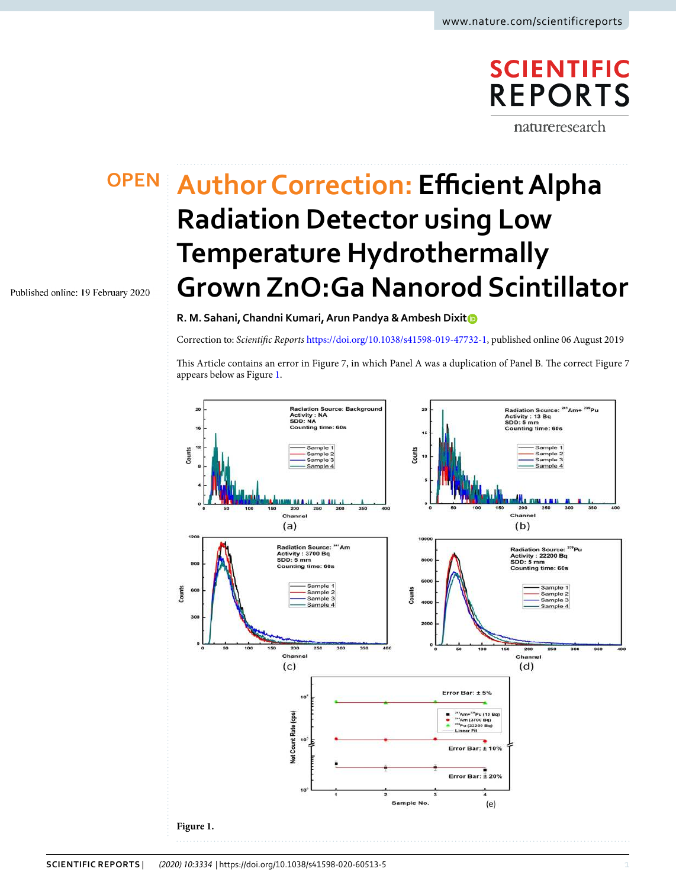## **SCIENTIFIC REPORTS**

natureresearch

Published online: 19 February 2020

## **Author Correction: Efficient Alpha OPEN Radiation Detector using Low Temperature Hydrothermally Grown ZnO:Ga Nanorod Scintillator**

**R. M. Sahani, Chandni Kumari, Arun Pandya & Ambesh Dixit**

Correction to: Scientific Reports [https://doi.org/10.1038/s41598-019-47732-1,](https://doi.org/10.1038/s41598-019-47732-1) published online 06 August 2019

This Article contains an error in Figure 7, in which Panel A was a duplication of Panel B. The correct Figure 7 appears below as Figure [1.](#page-0-0)

<span id="page-0-0"></span>